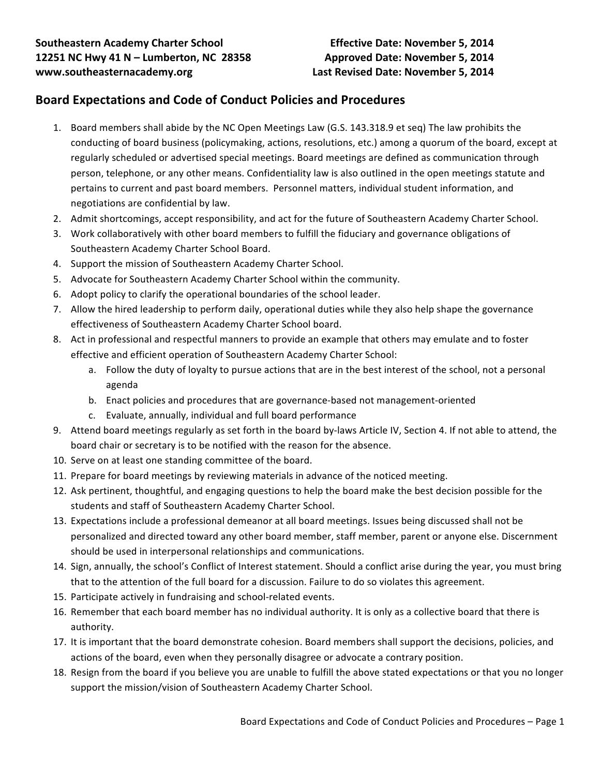## **Board Expectations and Code of Conduct Policies and Procedures**

- 1. Board members shall abide by the NC Open Meetings Law (G.S. 143.318.9 et seq) The law prohibits the conducting of board business (policymaking, actions, resolutions, etc.) among a quorum of the board, except at regularly scheduled or advertised special meetings. Board meetings are defined as communication through person, telephone, or any other means. Confidentiality law is also outlined in the open meetings statute and pertains to current and past board members. Personnel matters, individual student information, and negotiations are confidential by law.
- 2. Admit shortcomings, accept responsibility, and act for the future of Southeastern Academy Charter School.
- 3. Work collaboratively with other board members to fulfill the fiduciary and governance obligations of Southeastern Academy Charter School Board.
- 4. Support the mission of Southeastern Academy Charter School.
- 5. Advocate for Southeastern Academy Charter School within the community.
- 6. Adopt policy to clarify the operational boundaries of the school leader.
- 7. Allow the hired leadership to perform daily, operational duties while they also help shape the governance effectiveness of Southeastern Academy Charter School board.
- 8. Act in professional and respectful manners to provide an example that others may emulate and to foster effective and efficient operation of Southeastern Academy Charter School:
	- a. Follow the duty of loyalty to pursue actions that are in the best interest of the school, not a personal agenda
	- b. Enact policies and procedures that are governance-based not management-oriented
	- c. Evaluate, annually, individual and full board performance
- 9. Attend board meetings regularly as set forth in the board by-laws Article IV, Section 4. If not able to attend, the board chair or secretary is to be notified with the reason for the absence.
- 10. Serve on at least one standing committee of the board.
- 11. Prepare for board meetings by reviewing materials in advance of the noticed meeting.
- 12. Ask pertinent, thoughtful, and engaging questions to help the board make the best decision possible for the students and staff of Southeastern Academy Charter School.
- 13. Expectations include a professional demeanor at all board meetings. Issues being discussed shall not be personalized and directed toward any other board member, staff member, parent or anyone else. Discernment should be used in interpersonal relationships and communications.
- 14. Sign, annually, the school's Conflict of Interest statement. Should a conflict arise during the year, you must bring that to the attention of the full board for a discussion. Failure to do so violates this agreement.
- 15. Participate actively in fundraising and school-related events.
- 16. Remember that each board member has no individual authority. It is only as a collective board that there is authority.
- 17. It is important that the board demonstrate cohesion. Board members shall support the decisions, policies, and actions of the board, even when they personally disagree or advocate a contrary position.
- 18. Resign from the board if you believe you are unable to fulfill the above stated expectations or that you no longer support the mission/vision of Southeastern Academy Charter School.